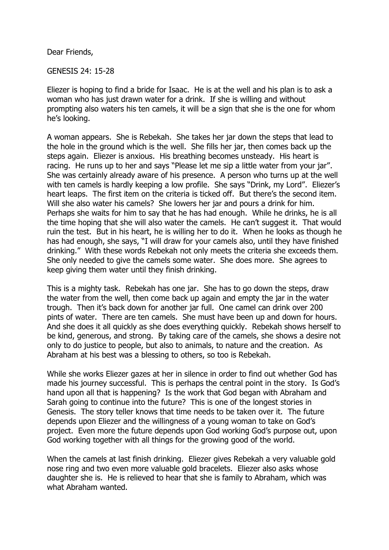Dear Friends,

GENESIS 24: 15-28

Eliezer is hoping to find a bride for Isaac. He is at the well and his plan is to ask a woman who has just drawn water for a drink. If she is willing and without prompting also waters his ten camels, it will be a sign that she is the one for whom he's looking.

A woman appears. She is Rebekah. She takes her jar down the steps that lead to the hole in the ground which is the well. She fills her jar, then comes back up the steps again. Eliezer is anxious. His breathing becomes unsteady. His heart is racing. He runs up to her and says "Please let me sip a little water from your jar". She was certainly already aware of his presence. A person who turns up at the well with ten camels is hardly keeping a low profile. She says "Drink, my Lord". Eliezer's heart leaps. The first item on the criteria is ticked off. But there's the second item. Will she also water his camels? She lowers her jar and pours a drink for him. Perhaps she waits for him to say that he has had enough. While he drinks, he is all the time hoping that she will also water the camels. He can't suggest it. That would ruin the test. But in his heart, he is willing her to do it. When he looks as though he has had enough, she says, "I will draw for your camels also, until they have finished drinking." With these words Rebekah not only meets the criteria she exceeds them. She only needed to give the camels some water. She does more. She agrees to keep giving them water until they finish drinking.

This is a mighty task. Rebekah has one jar. She has to go down the steps, draw the water from the well, then come back up again and empty the jar in the water trough. Then it's back down for another jar full. One camel can drink over 200 pints of water. There are ten camels. She must have been up and down for hours. And she does it all quickly as she does everything quickly. Rebekah shows herself to be kind, generous, and strong. By taking care of the camels, she shows a desire not only to do justice to people, but also to animals, to nature and the creation. As Abraham at his best was a blessing to others, so too is Rebekah.

While she works Eliezer gazes at her in silence in order to find out whether God has made his journey successful. This is perhaps the central point in the story. Is God's hand upon all that is happening? Is the work that God began with Abraham and Sarah going to continue into the future? This is one of the longest stories in Genesis. The story teller knows that time needs to be taken over it. The future depends upon Eliezer and the willingness of a young woman to take on God's project. Even more the future depends upon God working God's purpose out, upon God working together with all things for the growing good of the world.

When the camels at last finish drinking. Eliezer gives Rebekah a very valuable gold nose ring and two even more valuable gold bracelets. Eliezer also asks whose daughter she is. He is relieved to hear that she is family to Abraham, which was what Abraham wanted.